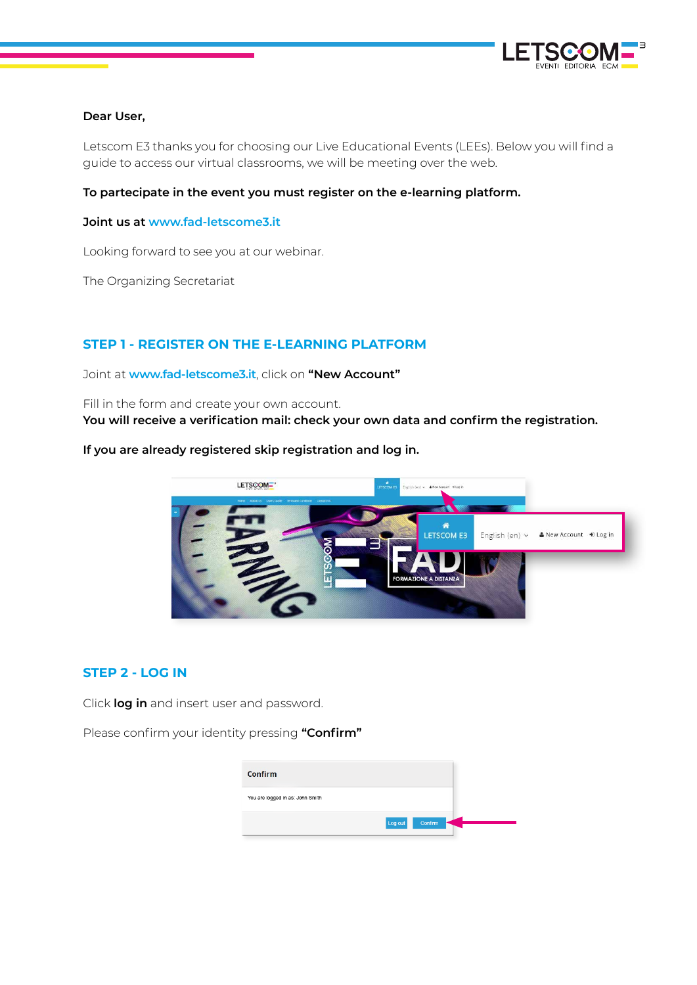

### **Dear User,**

Letscom E3 thanks you for choosing our Live Educational Events (LEEs). Below you will find a guide to access our virtual classrooms, we will be meeting over the web.

### **To partecipate in the event you must register on the e-learning platform.**

#### **Joint us at www.fad-letscome3.it**

Looking forward to see you at our webinar.

The Organizing Secretariat

## **STEP 1 - REGISTER ON THE E-LEARNING PLATFORM**

Joint at **www.fad-letscome3.it**, click on **"New Account"**

Fill in the form and create your own account. **You will receive a verification mail: check your own data and confirm the registration.**

#### **If you are already registered skip registration and log in.**



# **STEP 2 - LOG IN**

Click **log in** and insert user and password.

Please confirm your identity pressing **"Confirm"**